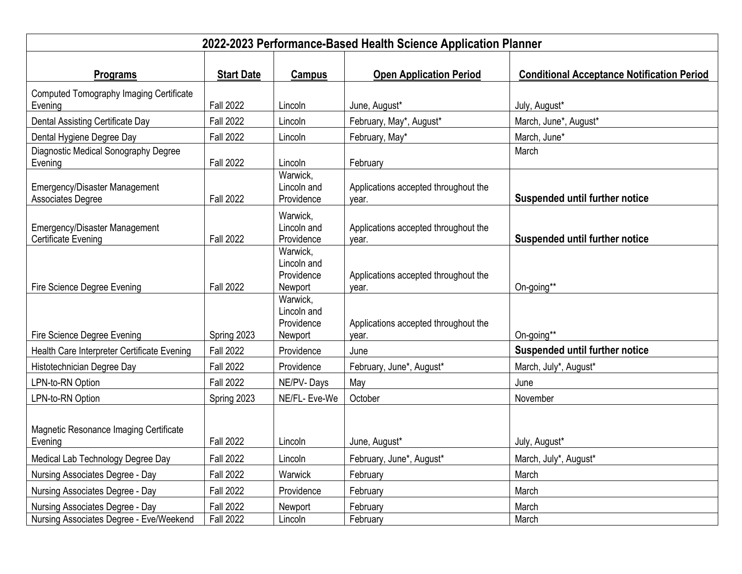| 2022-2023 Performance-Based Health Science Application Planner     |                   |                                                  |                                               |                                                   |  |  |  |
|--------------------------------------------------------------------|-------------------|--------------------------------------------------|-----------------------------------------------|---------------------------------------------------|--|--|--|
| Programs                                                           | <b>Start Date</b> | <b>Campus</b>                                    | <b>Open Application Period</b>                | <b>Conditional Acceptance Notification Period</b> |  |  |  |
| Computed Tomography Imaging Certificate<br>Evening                 | <b>Fall 2022</b>  | Lincoln                                          | June, August*                                 | July, August*                                     |  |  |  |
| Dental Assisting Certificate Day                                   | <b>Fall 2022</b>  | Lincoln                                          | February, May*, August*                       | March, June*, August*                             |  |  |  |
| Dental Hygiene Degree Day                                          | <b>Fall 2022</b>  | Lincoln                                          | February, May*                                | March, June*                                      |  |  |  |
| Diagnostic Medical Sonography Degree<br>Evening                    | <b>Fall 2022</b>  | Lincoln                                          | February                                      | March                                             |  |  |  |
| <b>Emergency/Disaster Management</b><br>Associates Degree          | <b>Fall 2022</b>  | Warwick,<br>Lincoln and<br>Providence            | Applications accepted throughout the<br>year. | Suspended until further notice                    |  |  |  |
| <b>Emergency/Disaster Management</b><br><b>Certificate Evening</b> | <b>Fall 2022</b>  | Warwick,<br>Lincoln and<br>Providence            | Applications accepted throughout the<br>year. | <b>Suspended until further notice</b>             |  |  |  |
| Fire Science Degree Evening                                        | <b>Fall 2022</b>  | Warwick,<br>Lincoln and<br>Providence<br>Newport | Applications accepted throughout the<br>year. | On-going**                                        |  |  |  |
| Fire Science Degree Evening                                        | Spring 2023       | Warwick,<br>Lincoln and<br>Providence<br>Newport | Applications accepted throughout the<br>year. | On-going**                                        |  |  |  |
| Health Care Interpreter Certificate Evening                        | <b>Fall 2022</b>  | Providence                                       | June                                          | <b>Suspended until further notice</b>             |  |  |  |
| Histotechnician Degree Day                                         | <b>Fall 2022</b>  | Providence                                       | February, June*, August*                      | March, July*, August*                             |  |  |  |
| LPN-to-RN Option                                                   | <b>Fall 2022</b>  | NE/PV-Days                                       | May                                           | June                                              |  |  |  |
| LPN-to-RN Option                                                   | Spring 2023       | NE/FL- Eve-We                                    | October                                       | November                                          |  |  |  |
| Magnetic Resonance Imaging Certificate<br>Evening                  | <b>Fall 2022</b>  | Lincoln                                          | June, August*                                 | July, August*                                     |  |  |  |
| Medical Lab Technology Degree Day                                  | <b>Fall 2022</b>  | Lincoln                                          | February, June*, August*                      | March, July*, August*                             |  |  |  |
| Nursing Associates Degree - Day                                    | <b>Fall 2022</b>  | Warwick                                          | February                                      | March                                             |  |  |  |
| Nursing Associates Degree - Day                                    | <b>Fall 2022</b>  | Providence                                       | February                                      | March                                             |  |  |  |
| Nursing Associates Degree - Day                                    | <b>Fall 2022</b>  | Newport                                          | February                                      | March                                             |  |  |  |
| Nursing Associates Degree - Eve/Weekend                            | <b>Fall 2022</b>  | Lincoln                                          | February                                      | March                                             |  |  |  |